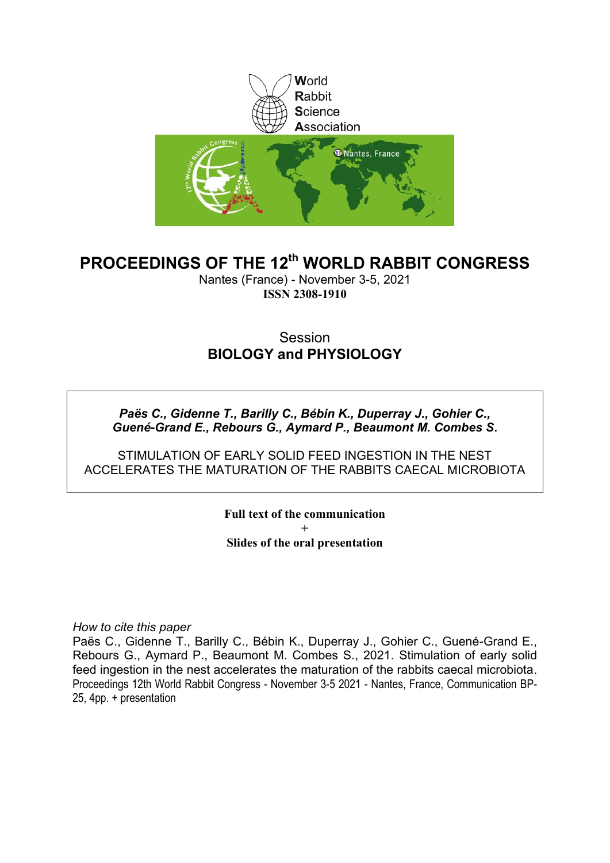

# **PROCEEDINGS OF THE 12th WORLD RABBIT CONGRESS**

Nantes (France) - November 3-5, 2021 **ISSN 2308-1910**

### **Session BIOLOGY and PHYSIOLOGY**

*Paës C., Gidenne T., Barilly C., Bébin K., Duperray J., Gohier C., Guené-Grand E., Rebours G., Aymard P., Beaumont M. Combes S***.**

STIMULATION OF EARLY SOLID FEED INGESTION IN THE NEST ACCELERATES THE MATURATION OF THE RABBITS CAECAL MICROBIOTA

> **Full text of the communication + Slides of the oral presentation**

*How to cite this paper*

Paës C., Gidenne T., Barilly C., Bébin K., Duperray J., Gohier C., Guené-Grand E., Rebours G., Aymard P., Beaumont M. Combes S., 2021. Stimulation of early solid feed ingestion in the nest accelerates the maturation of the rabbits caecal microbiota. Proceedings 12th World Rabbit Congress - November 3-5 2021 - Nantes, France, Communication BP-25, 4pp. + presentation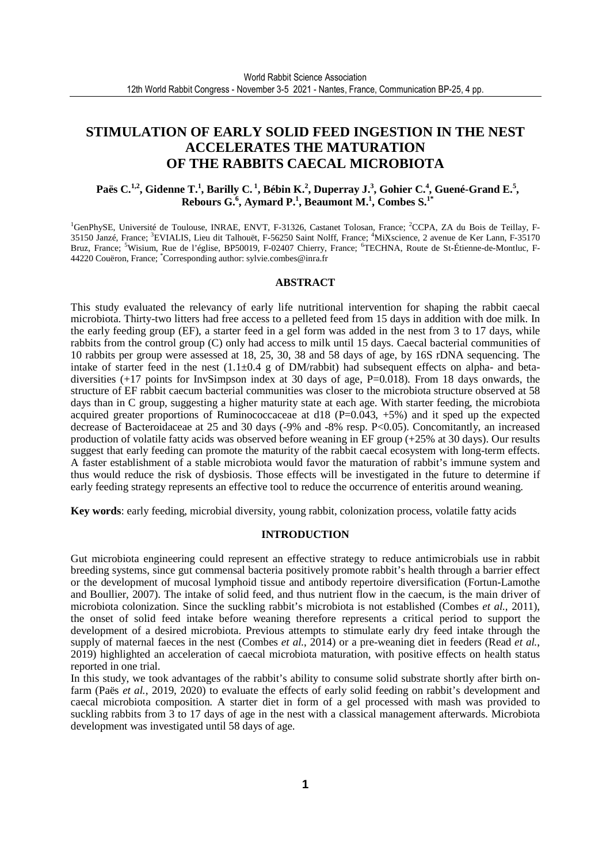### **STIMULATION OF EARLY SOLID FEED INGESTION IN THE NEST ACCELERATES THE MATURATION OF THE RABBITS CAECAL MICROBIOTA**

### **Paës C.1,2, Gidenne T.<sup>1</sup> , Barilly C.<sup>1</sup>, Bébin K.<sup>2</sup> , Duperray J.<sup>3</sup> , Gohier C.<sup>4</sup> , Guené-Grand E.<sup>5</sup> , Rebours G.<sup>6</sup> , Aymard P.<sup>1</sup> , Beaumont M.<sup>1</sup> , Combes S.1\***

<sup>1</sup>GenPhySE, Université de Toulouse, INRAE, ENVT, F-31326, Castanet Tolosan, France; <sup>2</sup>CCPA, ZA du Bois de Teillay, F-35150 Janzé, France; <sup>3</sup>EVIALIS, Lieu dit Talhouët, F-56250 Saint Nolff, France; <sup>4</sup>MiXscience, 2 avenue de Ker Lann, F-35170 Bruz, France; <sup>5</sup>Wisium, Rue de l'église, BP50019, F-02407 Chierry, France; <sup>6</sup>TECHNA, Route de St-Étienne-de-Montluc, F-44220 Couëron, France; \*Corresponding author: sylvie.combes@inra.fr

#### **ABSTRACT**

This study evaluated the relevancy of early life nutritional intervention for shaping the rabbit caecal microbiota. Thirty-two litters had free access to a pelleted feed from 15 days in addition with doe milk. In the early feeding group (EF), a starter feed in a gel form was added in the nest from 3 to 17 days, while rabbits from the control group (C) only had access to milk until 15 days. Caecal bacterial communities of 10 rabbits per group were assessed at 18, 25, 30, 38 and 58 days of age, by 16S rDNA sequencing. The intake of starter feed in the nest  $(1.1\pm0.4 \text{ g}$  of DM/rabbit) had subsequent effects on alpha- and betadiversities  $(+17 \text{ points for InvSimpson index at 30 days of age, P=0.018).$  From 18 days onwards, the structure of EF rabbit caecum bacterial communities was closer to the microbiota structure observed at 58 days than in C group, suggesting a higher maturity state at each age. With starter feeding, the microbiota acquired greater proportions of Ruminococcaceae at d18 (P=0.043, +5%) and it sped up the expected decrease of Bacteroidaceae at 25 and 30 days (-9% and -8% resp. P<0.05). Concomitantly, an increased production of volatile fatty acids was observed before weaning in EF group (+25% at 30 days). Our results suggest that early feeding can promote the maturity of the rabbit caecal ecosystem with long-term effects. A faster establishment of a stable microbiota would favor the maturation of rabbit's immune system and thus would reduce the risk of dysbiosis. Those effects will be investigated in the future to determine if early feeding strategy represents an effective tool to reduce the occurrence of enteritis around weaning.

**Key words**: early feeding, microbial diversity, young rabbit, colonization process, volatile fatty acids

#### **INTRODUCTION**

Gut microbiota engineering could represent an effective strategy to reduce antimicrobials use in rabbit breeding systems, since gut commensal bacteria positively promote rabbit's health through a barrier effect or the development of mucosal lymphoid tissue and antibody repertoire diversification (Fortun-Lamothe and Boullier, 2007). The intake of solid feed, and thus nutrient flow in the caecum, is the main driver of microbiota colonization. Since the suckling rabbit's microbiota is not established (Combes *et al.*, 2011), the onset of solid feed intake before weaning therefore represents a critical period to support the development of a desired microbiota. Previous attempts to stimulate early dry feed intake through the supply of maternal faeces in the nest (Combes *et al.*, 2014) or a pre-weaning diet in feeders (Read *et al.*, 2019) highlighted an acceleration of caecal microbiota maturation, with positive effects on health status reported in one trial.

In this study, we took advantages of the rabbit's ability to consume solid substrate shortly after birth onfarm (Paës *et al.*, 2019, 2020) to evaluate the effects of early solid feeding on rabbit's development and caecal microbiota composition. A starter diet in form of a gel processed with mash was provided to suckling rabbits from  $3$  to 17 days of age in the nest with a classical management afterwards. Microbiota development was investigated until 58 days of age.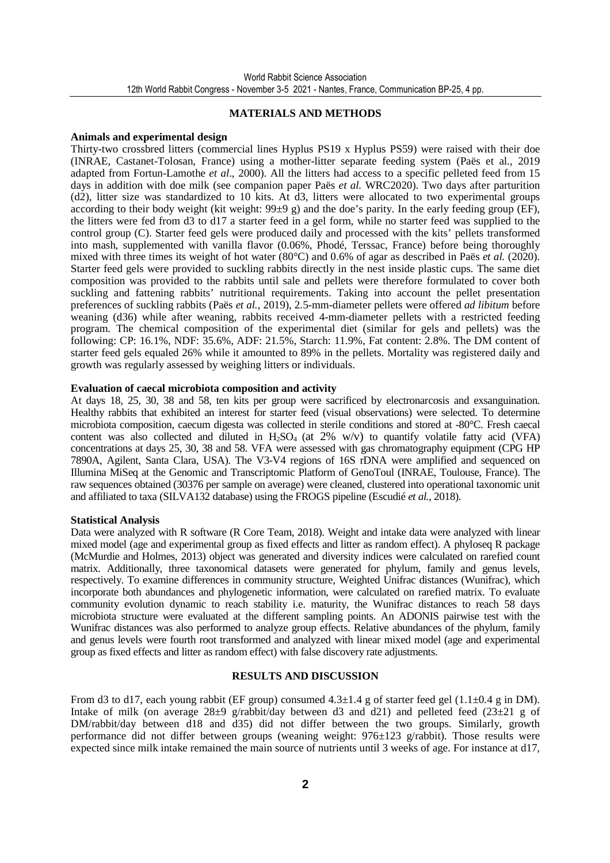#### **MATERIALS AND METHODS**

#### **Animals and experimental design**

Thirty-two crossbred litters (commercial lines Hyplus PS19 x Hyplus PS59) were raised with their doe (INRAE, Castanet-Tolosan, France) using a mother-litter separate feeding system (Paës et al., 2019 adapted from Fortun-Lamothe *et al*., 2000). All the litters had access to a specific pelleted feed from 15 days in addition with doe milk (see companion paper Paës *et al.* WRC2020). Two days after parturition (d2), litter size was standardized to 10 kits. At d3, litters were allocated to two experimental groups according to their body weight (kit weight:  $99±9$  g) and the doe's parity. In the early feeding group (EF), the litters were fed from d3 to d17 a starter feed in a gel form, while no starter feed was supplied to the control group (C). Starter feed gels were produced daily and processed with the kits' pellets transformed into mash, supplemented with vanilla flavor (0.06%, Phodé, Terssac, France) before being thoroughly mixed with three times its weight of hot water (80°C) and 0.6% of agar as described in Paës *et al.* (2020). Starter feed gels were provided to suckling rabbits directly in the nest inside plastic cups. The same diet composition was provided to the rabbits until sale and pellets were therefore formulated to cover both suckling and fattening rabbits' nutritional requirements. Taking into account the pellet presentation preferences of suckling rabbits (Paës *et al.*, 2019), 2.5-mm-diameter pellets were offered *ad libitum* before weaning (d36) while after weaning, rabbits received 4-mm-diameter pellets with a restricted feeding program. The chemical composition of the experimental diet (similar for gels and pellets) was the following: CP: 16.1%, NDF: 35.6%, ADF: 21.5%, Starch: 11.9%, Fat content: 2.8%. The DM content of starter feed gels equaled 26% while it amounted to 89% in the pellets. Mortality was registered daily and growth was regularly assessed by weighing litters or individuals.

#### **Evaluation of caecal microbiota composition and activity**

At days 18, 25, 30, 38 and 58, ten kits per group were sacrificed by electronarcosis and exsanguination. Healthy rabbits that exhibited an interest for starter feed (visual observations) were selected. To determine microbiota composition, caecum digesta was collected in sterile conditions and stored at -80°C. Fresh caecal content was also collected and diluted in  $H_2SO_4$  (at 2% w/v) to quantify volatile fatty acid (VFA) concentrations at days 25, 30, 38 and 58. VFA were assessed with gas chromatography equipment (CPG HP 7890A, Agilent, Santa Clara, USA). The V3-V4 regions of 16S rDNA were amplified and sequenced on Illumina MiSeq at the Genomic and Transcriptomic Platform of GenoToul (INRAE, Toulouse, France). The raw sequences obtained (30376 per sample on average) were cleaned, clustered into operational taxonomic unit and affiliated to taxa (SILVA132 database) using the FROGS pipeline (Escudié *et al.*, 2018).

#### **Statistical Analysis**

Data were analyzed with R software (R Core Team, 2018). Weight and intake data were analyzed with linear mixed model (age and experimental group as fixed effects and litter as random effect). A phyloseq R package (McMurdie and Holmes, 2013) object was generated and diversity indices were calculated on rarefied count matrix. Additionally, three taxonomical datasets were generated for phylum, family and genus levels, respectively. To examine differences in community structure, Weighted Unifrac distances (Wunifrac), which incorporate both abundances and phylogenetic information, were calculated on rarefied matrix. To evaluate community evolution dynamic to reach stability i.e. maturity, the Wunifrac distances to reach 58 days microbiota structure were evaluated at the different sampling points. An ADONIS pairwise test with the Wunifrac distances was also performed to analyze group effects. Relative abundances of the phylum, family and genus levels were fourth root transformed and analyzed with linear mixed model (age and experimental group as fixed effects and litter as random effect) with false discovery rate adjustments.

#### **RESULTS AND DISCUSSION**

From d3 to d17, each young rabbit (EF group) consumed  $4.3\pm1.4$  g of starter feed gel (1.1 $\pm$ 0.4 g in DM). Intake of milk (on average  $28\pm9$  g/rabbit/day between d3 and d21) and pelleted feed  $(23\pm21)$  g of DM/rabbit/day between d18 and d35) did not differ between the two groups. Similarly, growth performance did not differ between groups (weaning weight:  $976\pm 123$  g/rabbit). Those results were expected since milk intake remained the main source of nutrients until 3 weeks of age. For instance at d17,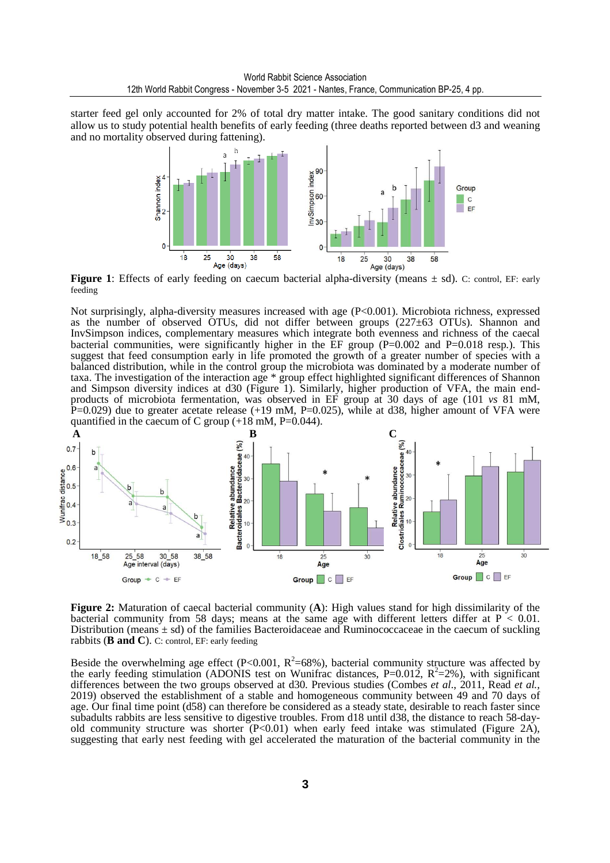starter feed gel only accounted for 2% of total dry matter intake. The good sanitary conditions did not allow us to study potential health benefits of early feeding (three deaths reported between d3 and weaning and no mortality observed during fattening).



**Figure 1**: Effects of early feeding on caecum bacterial alpha-diversity (means  $\pm$  sd). C: control, EF: early feeding

Not surprisingly, alpha-diversity measures increased with age (P<0.001). Microbiota richness, expressed as the number of observed OTUs, did not differ between groups (227±63 OTUs). Shannon and InvSimpson indices, complementary measures which integrate both evenness and richness of the caecal bacterial communities, were significantly higher in the  $\overline{EF}$  group (P=0.002 and P=0.018 resp.). This suggest that feed consumption early in life promoted the growth of a greater number of species with a balanced distribution, while in the control group the microbiota was dominated by a moderate number of taxa. The investigation of the interaction age \* group effect highlighted significant differences of Shannon and Simpson diversity indices at d30 (Figure 1). Similarly, higher production of VFA, the main endproducts of microbiota fermentation, was observed in EF group at 30 days of age (101 *vs* 81 mM,  $P=0.029$ ) due to greater acetate release (+19 mM,  $P=0.025$ ), while at d38, higher amount of VFA were quantified in the caecum of C group  $(+18 \text{ mM}, \text{P=0.044}).$ 



**Figure 2:** Maturation of caecal bacterial community (**A**): High values stand for high dissimilarity of the bacterial community from 58 days; means at the same age with different letters differ at  $P < 0.01$ . Distribution (means  $\pm$  sd) of the families Bacteroidaceae and Ruminococcaceae in the caecum of suckling rabbits (**B and C**). C: control, EF: early feeding

Beside the overwhelming age effect (P<0.001,  $R^2$ =68%), bacterial community structure was affected by the early feeding stimulation (ADONIS test on Wunifrac distances, P=0.012,  $R^2$ =2%), with significant differences between the two groups observed at d30. Previous studies (Combes *et al*., 2011, Read *et al.,* 2019) observed the establishment of a stable and homogeneous community between 49 and 70 days of age. Our final time point (d58) can therefore be considered as a steady state, desirable to reach faster since subadults rabbits are less sensitive to digestive troubles. From d18 until d38, the distance to reach 58-dayold community structure was shorter  $(P< 0.01)$  when early feed intake was stimulated (Figure 2A), suggesting that early nest feeding with gel accelerated the maturation of the bacterial community in the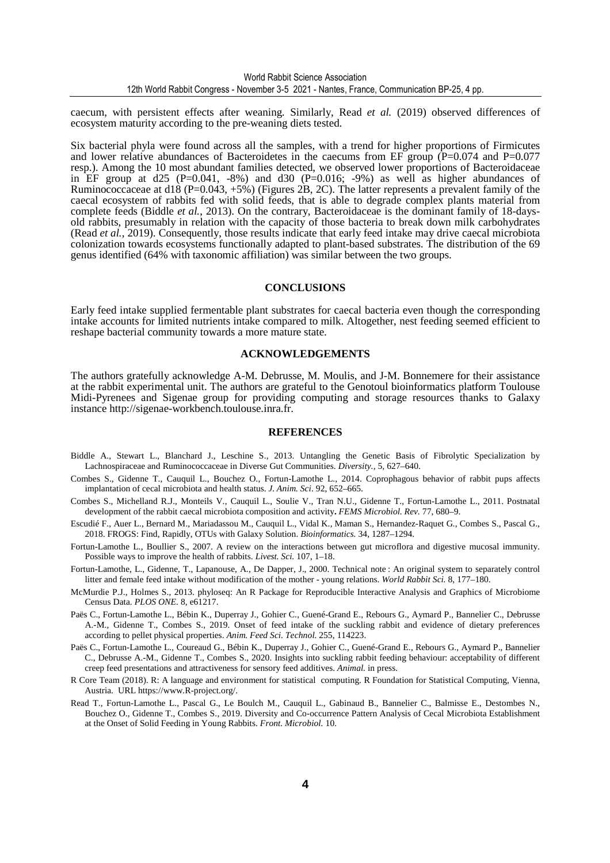caecum, with persistent effects after weaning. Similarly, Read *et al.* (2019) observed differences of ecosystem maturity according to the pre-weaning diets tested.

Six bacterial phyla were found across all the samples, with a trend for higher proportions of Firmicutes and lower relative abundances of Bacteroidetes in the caecums from EF group  $(P=0.074$  and P=0.077 resp.). Among the 10 most abundant families detected, we observed lower proportions of Bacteroidaceae in EF group at d25 (P=0.041,  $-8\%$ ) and d30 (P=0.016;  $-9\%$ ) as well as higher abundances of Ruminococcaceae at d18 (P=0.043, +5%) (Figures 2B, 2C). The latter represents a prevalent family of the caecal ecosystem of rabbits fed with solid feeds, that is able to degrade complex plants material from complete feeds (Biddle *et al.*, 2013). On the contrary, Bacteroidaceae is the dominant family of 18-daysold rabbits, presumably in relation with the capacity of those bacteria to break down milk carbohydrates (Read *et al.*, 2019). Consequently, those results indicate that early feed intake may drive caecal microbiota colonization towards ecosystems functionally adapted to plant-based substrates. The distribution of the 69 genus identified (64% with taxonomic affiliation) was similar between the two groups.

#### **CONCLUSIONS**

Early feed intake supplied fermentable plant substrates for caecal bacteria even though the corresponding intake accounts for limited nutrients intake compared to milk. Altogether, nest feeding seemed efficient to reshape bacterial community towards a more mature state.

#### **ACKNOWLEDGEMENTS**

The authors gratefully acknowledge A-M. Debrusse, M. Moulis, and J-M. Bonnemere for their assistance at the rabbit experimental unit. The authors are grateful to the Genotoul bioinformatics platform Toulouse Midi-Pyrenees and Sigenae group for providing computing and storage resources thanks to Galaxy instance http://sigenae-workbench.toulouse.inra.fr.

#### **REFERENCES**

- Biddle A., Stewart L., Blanchard J., Leschine S., 2013. Untangling the Genetic Basis of Fibrolytic Specialization by Lachnospiraceae and Ruminococcaceae in Diverse Gut Communities. *Diversity.,* 5, 627–640.
- Combes S., Gidenne T., Cauquil L., Bouchez O., Fortun-Lamothe L., 2014. Coprophagous behavior of rabbit pups affects implantation of cecal microbiota and health status. *J. Anim. Sci*. 92, 652–665.
- Combes S., Michelland R.J., Monteils V., Cauquil L., Soulie V., Tran N.U., Gidenne T., Fortun-Lamothe L., 2011. Postnatal development of the rabbit caecal microbiota composition and activity**.** *FEMS Microbiol. Rev.* 77, 680–9.
- Escudié F., Auer L., Bernard M., Mariadassou M., Cauquil L., Vidal K., Maman S., Hernandez-Raquet G., Combes S., Pascal G., 2018. FROGS: Find, Rapidly, OTUs with Galaxy Solution. *Bioinformatics.* 34, 1287–1294.
- Fortun-Lamothe L., Boullier S., 2007. A review on the interactions between gut microflora and digestive mucosal immunity. Possible ways to improve the health of rabbits. *Livest. Sci.* 107, 1–18.
- Fortun-Lamothe, L., Gidenne, T., Lapanouse, A., De Dapper, J., 2000. Technical note : An original system to separately control litter and female feed intake without modification of the mother - young relations. *World Rabbit Sci.* 8, 177–180.
- McMurdie P.J., Holmes S., 2013. phyloseq: An R Package for Reproducible Interactive Analysis and Graphics of Microbiome Census Data. *PLOS ONE.* 8, e61217.
- Paës C., Fortun-Lamothe L., Bébin K., Duperray J., Gohier C., Guené-Grand E., Rebours G., Aymard P., Bannelier C., Debrusse A.-M., Gidenne T., Combes S., 2019. Onset of feed intake of the suckling rabbit and evidence of dietary preferences according to pellet physical properties. *Anim. Feed Sci. Technol.* 255, 114223.
- Paës C., Fortun-Lamothe L., Coureaud G., Bébin K., Duperray J., Gohier C., Guené-Grand E., Rebours G., Aymard P., Bannelier C., Debrusse A.-M., Gidenne T., Combes S., 2020. Insights into suckling rabbit feeding behaviour: acceptability of different creep feed presentations and attractiveness for sensory feed additives. *Animal.* in press.
- R Core Team (2018). R: A language and environment for statistical computing. R Foundation for Statistical Computing, Vienna, Austria. URL https://www.R-project.org/.
- Read T., Fortun-Lamothe L., Pascal G., Le Boulch M., Cauquil L., Gabinaud B., Bannelier C., Balmisse E., Destombes N., Bouchez O., Gidenne T., Combes S., 2019. Diversity and Co-occurrence Pattern Analysis of Cecal Microbiota Establishment at the Onset of Solid Feeding in Young Rabbits. *Front. Microbiol.* 10.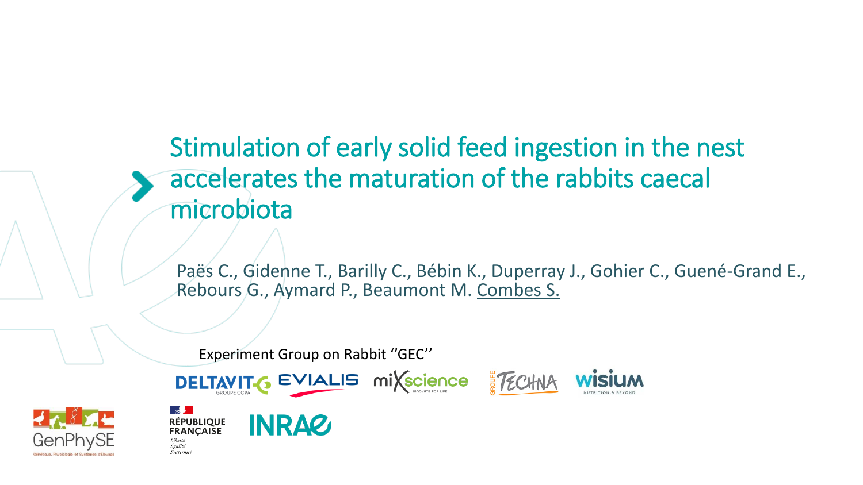# Stimulation of early solid feed ingestion in the nest accelerates the maturation of the rabbits caecal microbiota

Paës C., Gidenne T., Barilly C., Bébin K., Duperray J., Gohier C., Guené-Grand E., Rebours G., Aymard P., Beaumont M. Combes S.

Experiment Group on Rabbit ''GEC''



Liherté







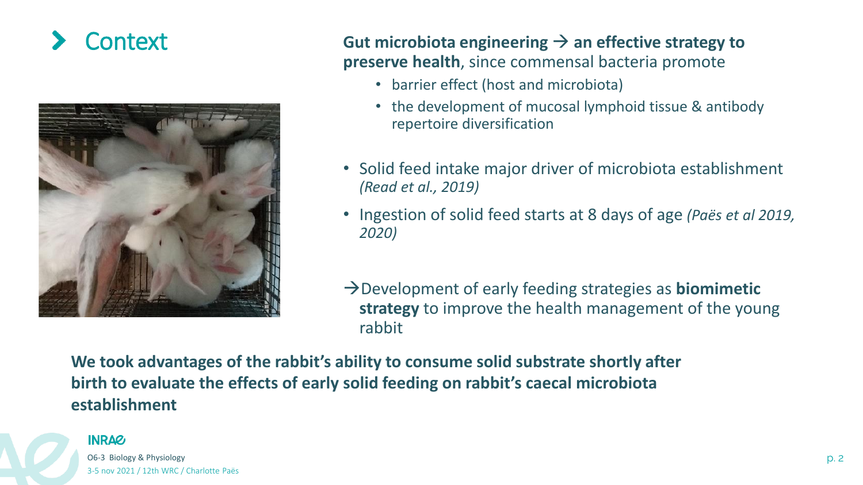

Context **Gut microbiota engineering** <sup>→</sup> **an effective strategy to preserve health**, since commensal bacteria promote

- barrier effect (host and microbiota)
- the development of mucosal lymphoid tissue & antibody repertoire diversification
- Solid feed intake major driver of microbiota establishment *(Read et al., 2019)*
- Ingestion of solid feed starts at 8 days of age *(Paës et al 2019, 2020)*
- →Development of early feeding strategies as **biomimetic strategy** to improve the health management of the young rabbit

**We took advantages of the rabbit's ability to consume solid substrate shortly after birth to evaluate the effects of early solid feeding on rabbit's caecal microbiota establishment**



O6-3 Biology & Physiology p. 2 3-5 nov 2021 / 12th WRC / Charlotte Paës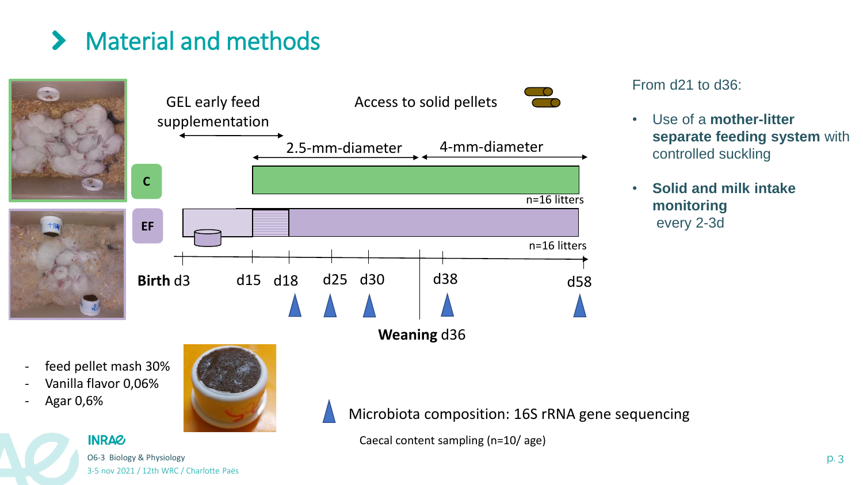# Material and methods



From d21 to d36:

- Use of a **mother-litter separate feeding system** with controlled suckling
- **Solid and milk intake monitoring** every 2-3d

- feed pellet mash 30%
- Vanilla flavor 0,06%
- Agar 0,6%



Microbiota composition: 16S rRNA gene sequencing

Caecal content sampling (n=10/ age)

## **INRAG**

O6-3 Biology & Physiology **p. 3** 3-5 nov 2021 / 12th WRC / Charlotte Paës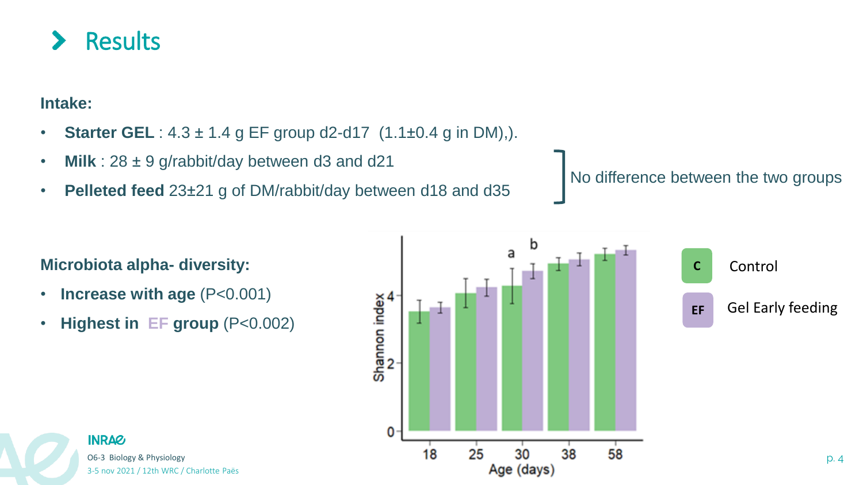

**Intake:** 

- **Starter GEL** : 4.3 ± 1.4 g EF group d2-d17 (1.1±0.4 g in DM),).
- **Milk** : 28 ± 9 g/rabbit/day between d3 and d21
- **Pelleted feed** 23±21 g of DM/rabbit/day between d18 and d35

No difference between the two groups



- **Increase with age** (P<0.001)
- **Highest in EF group** (P<0.002)



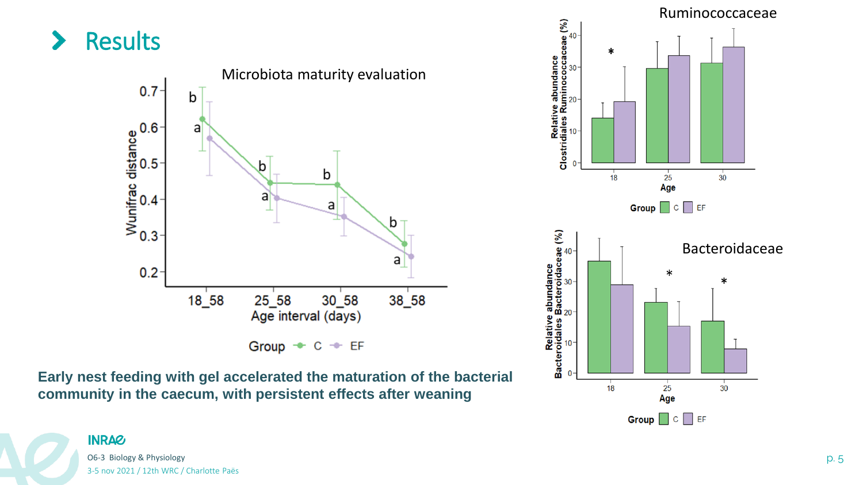

**Early nest feeding with gel accelerated the maturation of the bacterial community in the caecum, with persistent effects after weaning**

O6-3 Biology & Physiology **p. 5** Physiology **p. 5** P. 5

3-5 nov 2021 / 12th WRC / Charlotte Paës

**INRA&** 

 $30<sup>1</sup>$ 

 $18$ 

 $25$ Age

Group  $\Box$  C  $\Box$  EF